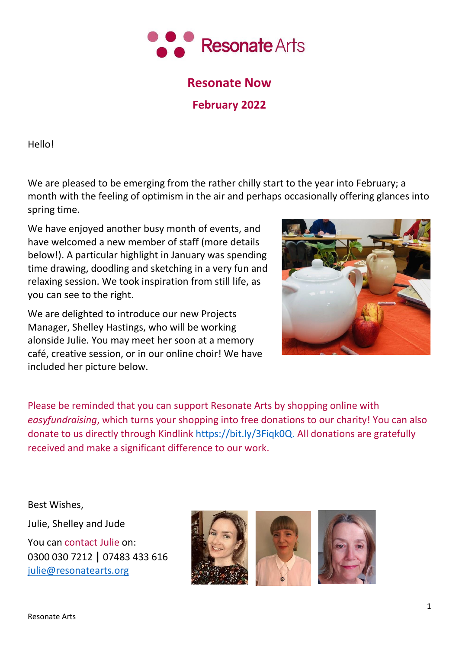

# **Resonate Now**

**February 2022**

Hello!

We are pleased to be emerging from the rather chilly start to the year into February; a month with the feeling of optimism in the air and perhaps occasionally offering glances into spring time.

We have enjoyed another busy month of events, and have welcomed a new member of staff (more details below!). A particular highlight in January was spending time drawing, doodling and sketching in a very fun and relaxing session. We took inspiration from still life, as you can see to the right.

We are delighted to introduce our new Projects Manager, Shelley Hastings, who will be working alonside Julie. You may meet her soon at a memory café, creative session, or in our online choir! We have included her picture below.



Please be reminded that you can support Resonate Arts by shopping online with *easyfundraising*, which turns your shopping into free donations to our charity! You can also donate to us directly through Kindlink [https://bit.ly/3Fiqk0Q.](https://bit.ly/3Fiqk0Q) All donations are gratefully received and make a significant difference to our work.

Best Wishes,

Julie, Shelley and Jude You can contact Julie on: 0300 030 7212 **|** 07483 433 616 [julie@resonatearts.org](mailto:julie@resonatearts.org)